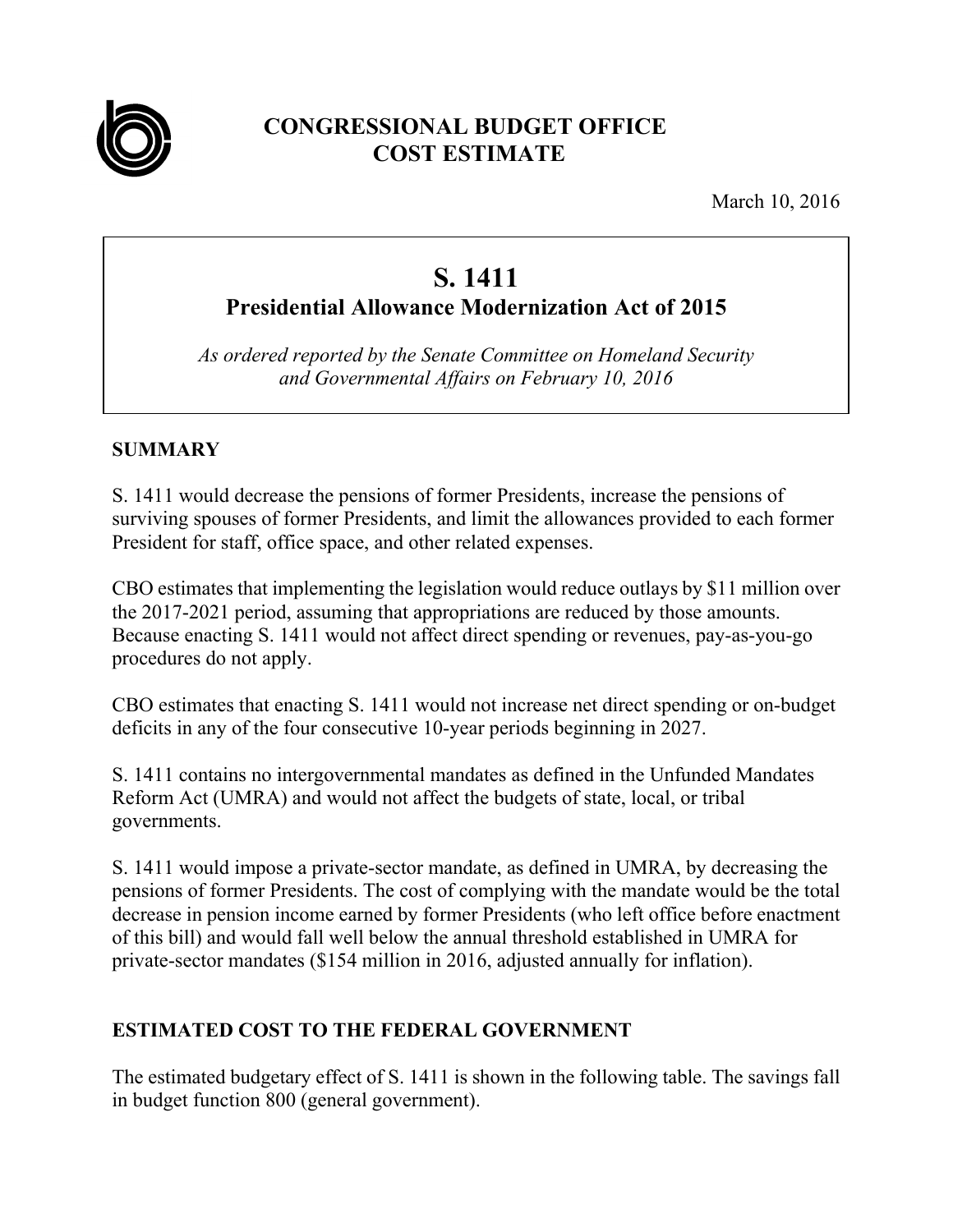

## **CONGRESSIONAL BUDGET OFFICE COST ESTIMATE**

March 10, 2016

# **S. 1411**

**Presidential Allowance Modernization Act of 2015** 

*As ordered reported by the Senate Committee on Homeland Security and Governmental Affairs on February 10, 2016* 

#### **SUMMARY**

S. 1411 would decrease the pensions of former Presidents, increase the pensions of surviving spouses of former Presidents, and limit the allowances provided to each former President for staff, office space, and other related expenses.

CBO estimates that implementing the legislation would reduce outlays by \$11 million over the 2017-2021 period, assuming that appropriations are reduced by those amounts. Because enacting S. 1411 would not affect direct spending or revenues, pay-as-you-go procedures do not apply.

CBO estimates that enacting S. 1411 would not increase net direct spending or on-budget deficits in any of the four consecutive 10-year periods beginning in 2027.

S. 1411 contains no intergovernmental mandates as defined in the Unfunded Mandates Reform Act (UMRA) and would not affect the budgets of state, local, or tribal governments.

S. 1411 would impose a private-sector mandate, as defined in UMRA, by decreasing the pensions of former Presidents. The cost of complying with the mandate would be the total decrease in pension income earned by former Presidents (who left office before enactment of this bill) and would fall well below the annual threshold established in UMRA for private-sector mandates (\$154 million in 2016, adjusted annually for inflation).

#### **ESTIMATED COST TO THE FEDERAL GOVERNMENT**

The estimated budgetary effect of S. 1411 is shown in the following table. The savings fall in budget function 800 (general government).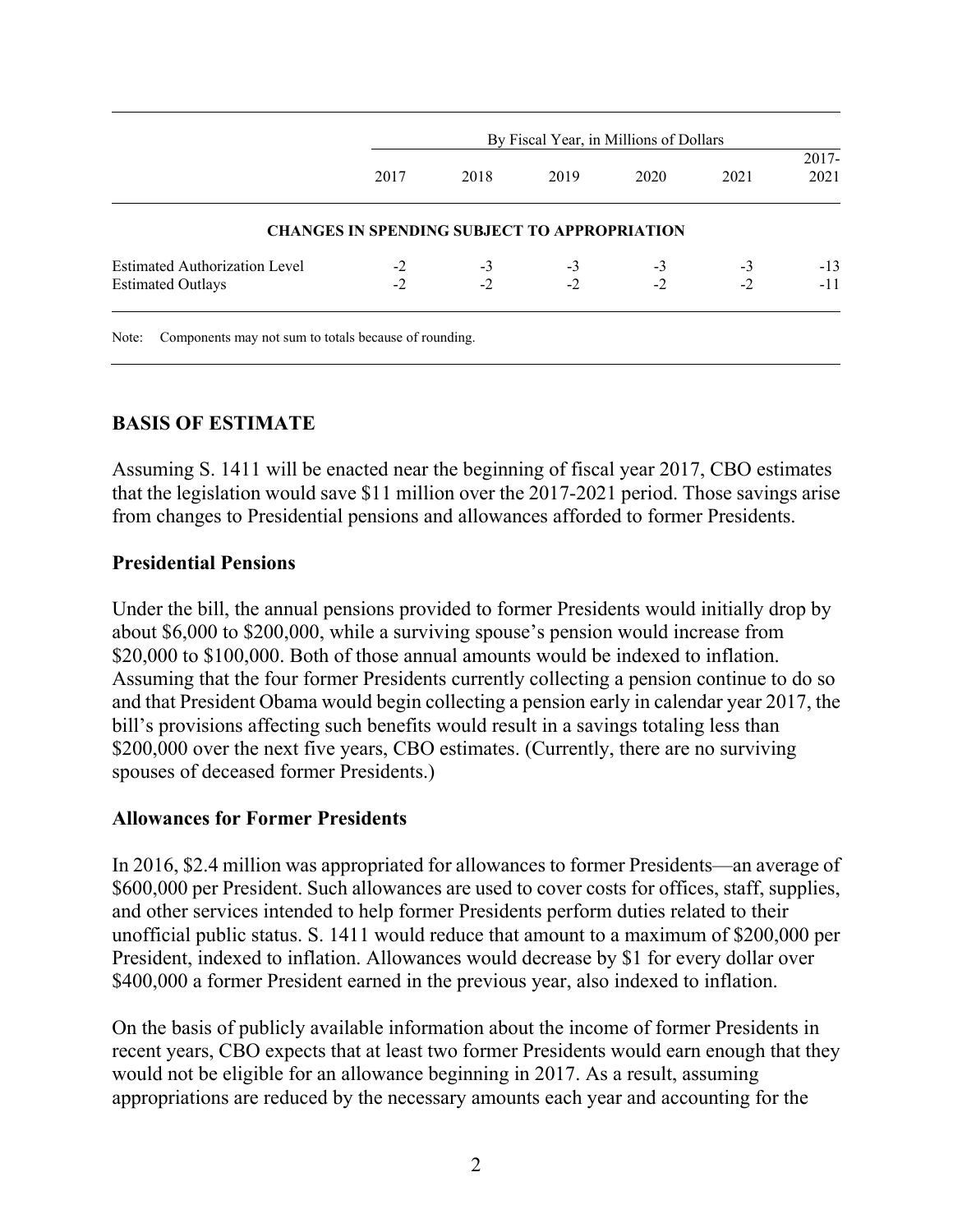|                                      | By Fiscal Year, in Millions of Dollars              |      |      |      |      |                  |
|--------------------------------------|-----------------------------------------------------|------|------|------|------|------------------|
|                                      | 2017                                                | 2018 | 2019 | 2020 | 2021 | $2017 -$<br>2021 |
|                                      |                                                     |      |      |      |      |                  |
|                                      | <b>CHANGES IN SPENDING SUBJECT TO APPROPRIATION</b> |      |      |      |      |                  |
| <b>Estimated Authorization Level</b> | $-2$                                                | $-3$ | $-3$ | $-3$ | $-3$ | $-13$            |

Note: Components may not sum to totals because of rounding.

#### **BASIS OF ESTIMATE**

Assuming S. 1411 will be enacted near the beginning of fiscal year 2017, CBO estimates that the legislation would save \$11 million over the 2017-2021 period. Those savings arise from changes to Presidential pensions and allowances afforded to former Presidents.

#### **Presidential Pensions**

Under the bill, the annual pensions provided to former Presidents would initially drop by about \$6,000 to \$200,000, while a surviving spouse's pension would increase from \$20,000 to \$100,000. Both of those annual amounts would be indexed to inflation. Assuming that the four former Presidents currently collecting a pension continue to do so and that President Obama would begin collecting a pension early in calendar year 2017, the bill's provisions affecting such benefits would result in a savings totaling less than \$200,000 over the next five years, CBO estimates. (Currently, there are no surviving spouses of deceased former Presidents.)

#### **Allowances for Former Presidents**

In 2016, \$2.4 million was appropriated for allowances to former Presidents—an average of \$600,000 per President. Such allowances are used to cover costs for offices, staff, supplies, and other services intended to help former Presidents perform duties related to their unofficial public status. S. 1411 would reduce that amount to a maximum of \$200,000 per President, indexed to inflation. Allowances would decrease by \$1 for every dollar over \$400,000 a former President earned in the previous year, also indexed to inflation.

On the basis of publicly available information about the income of former Presidents in recent years, CBO expects that at least two former Presidents would earn enough that they would not be eligible for an allowance beginning in 2017. As a result, assuming appropriations are reduced by the necessary amounts each year and accounting for the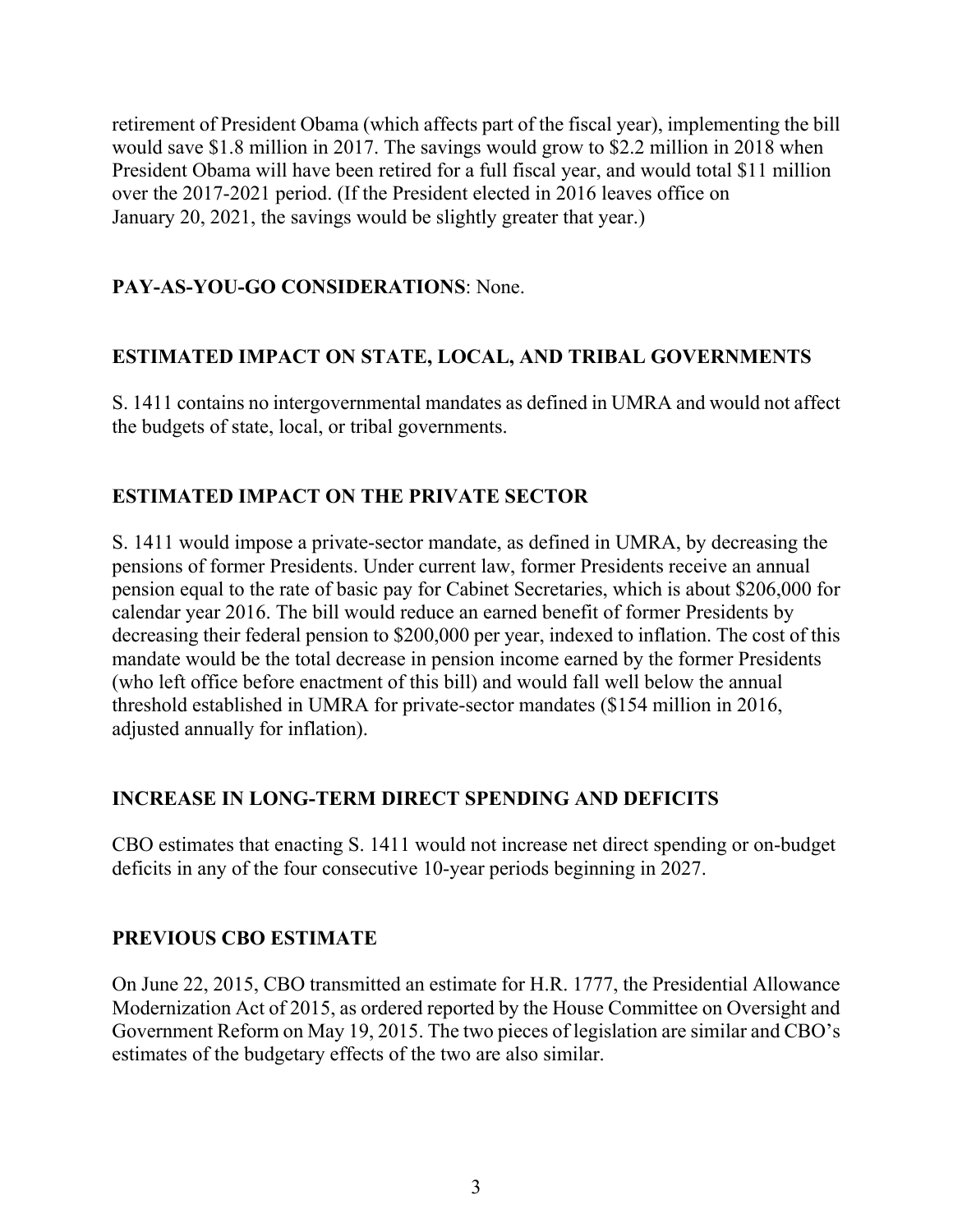retirement of President Obama (which affects part of the fiscal year), implementing the bill would save \$1.8 million in 2017. The savings would grow to \$2.2 million in 2018 when President Obama will have been retired for a full fiscal year, and would total \$11 million over the 2017-2021 period. (If the President elected in 2016 leaves office on January 20, 2021, the savings would be slightly greater that year.)

## **PAY-AS-YOU-GO CONSIDERATIONS**: None.

## **ESTIMATED IMPACT ON STATE, LOCAL, AND TRIBAL GOVERNMENTS**

S. 1411 contains no intergovernmental mandates as defined in UMRA and would not affect the budgets of state, local, or tribal governments.

#### **ESTIMATED IMPACT ON THE PRIVATE SECTOR**

S. 1411 would impose a private-sector mandate, as defined in UMRA, by decreasing the pensions of former Presidents. Under current law, former Presidents receive an annual pension equal to the rate of basic pay for Cabinet Secretaries, which is about \$206,000 for calendar year 2016. The bill would reduce an earned benefit of former Presidents by decreasing their federal pension to \$200,000 per year, indexed to inflation. The cost of this mandate would be the total decrease in pension income earned by the former Presidents (who left office before enactment of this bill) and would fall well below the annual threshold established in UMRA for private-sector mandates (\$154 million in 2016, adjusted annually for inflation).

#### **INCREASE IN LONG-TERM DIRECT SPENDING AND DEFICITS**

CBO estimates that enacting S. 1411 would not increase net direct spending or on-budget deficits in any of the four consecutive 10-year periods beginning in 2027.

#### **PREVIOUS CBO ESTIMATE**

On June 22, 2015, CBO transmitted an estimate for H.R. 1777, the Presidential Allowance Modernization Act of 2015, as ordered reported by the House Committee on Oversight and Government Reform on May 19, 2015. The two pieces of legislation are similar and CBO's estimates of the budgetary effects of the two are also similar.